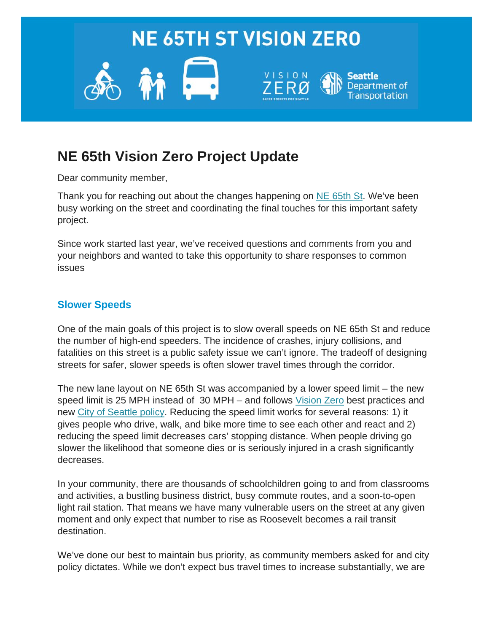

# **NE 65th Vision Zero Project Update**

Dear community member,

Thank you for reaching out about the changes happening on [NE 65th St.](https://seattle.us18.list-manage.com/track/click?u=1b875e86fcbd0996e456b33ff&id=aed96698c1&e=b510cadbba) We've been busy working on the street and coordinating the final touches for this important safety project.

Since work started last year, we've received questions and comments from you and your neighbors and wanted to take this opportunity to share responses to common issues

## **Slower Speeds**

One of the main goals of this project is to slow overall speeds on NE 65th St and reduce the number of high-end speeders. The incidence of crashes, injury collisions, and fatalities on this street is a public safety issue we can't ignore. The tradeoff of designing streets for safer, slower speeds is often slower travel times through the corridor.

The new lane layout on NE 65th St was accompanied by a lower speed limit – the new speed limit is 25 MPH instead of 30 MPH – and follows [Vision Zero](https://seattle.us18.list-manage.com/track/click?u=1b875e86fcbd0996e456b33ff&id=ea34d2fdc6&e=b510cadbba) best practices and new [City of Seattle policy.](https://seattle.us18.list-manage.com/track/click?u=1b875e86fcbd0996e456b33ff&id=40403bbe31&e=b510cadbba) Reducing the speed limit works for several reasons: 1) it gives people who drive, walk, and bike more time to see each other and react and 2) reducing the speed limit decreases cars' stopping distance. When people driving go slower the likelihood that someone dies or is seriously injured in a crash significantly decreases.

In your community, there are thousands of schoolchildren going to and from classrooms and activities, a bustling business district, busy commute routes, and a soon-to-open light rail station. That means we have many vulnerable users on the street at any given moment and only expect that number to rise as Roosevelt becomes a rail transit destination.

We've done our best to maintain bus priority, as community members asked for and city policy dictates. While we don't expect bus travel times to increase substantially, we are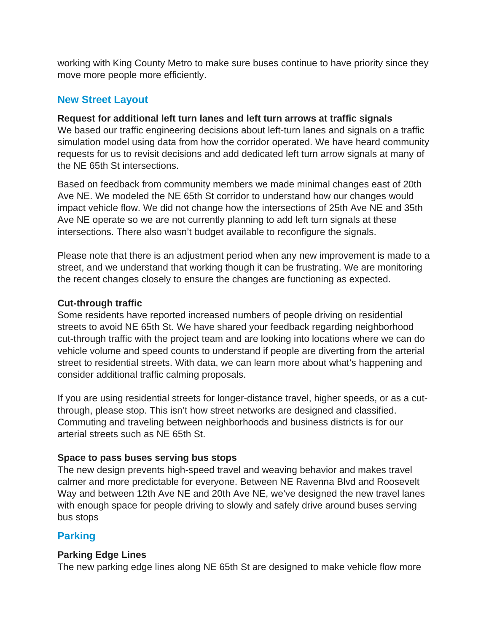working with King County Metro to make sure buses continue to have priority since they move more people more efficiently.

## **New Street Layout**

#### **Request for additional left turn lanes and left turn arrows at traffic signals**

We based our traffic engineering decisions about left-turn lanes and signals on a traffic simulation model using data from how the corridor operated. We have heard community requests for us to revisit decisions and add dedicated left turn arrow signals at many of the NE 65th St intersections.

Based on feedback from community members we made minimal changes east of 20th Ave NE. We modeled the NE 65th St corridor to understand how our changes would impact vehicle flow. We did not change how the intersections of 25th Ave NE and 35th Ave NE operate so we are not currently planning to add left turn signals at these intersections. There also wasn't budget available to reconfigure the signals.

Please note that there is an adjustment period when any new improvement is made to a street, and we understand that working though it can be frustrating. We are monitoring the recent changes closely to ensure the changes are functioning as expected.

#### **Cut-through traffic**

Some residents have reported increased numbers of people driving on residential streets to avoid NE 65th St. We have shared your feedback regarding neighborhood cut-through traffic with the project team and are looking into locations where we can do vehicle volume and speed counts to understand if people are diverting from the arterial street to residential streets. With data, we can learn more about what's happening and consider additional traffic calming proposals.

If you are using residential streets for longer-distance travel, higher speeds, or as a cutthrough, please stop. This isn't how street networks are designed and classified. Commuting and traveling between neighborhoods and business districts is for our arterial streets such as NE 65th St.

## **Space to pass buses serving bus stops**

The new design prevents high-speed travel and weaving behavior and makes travel calmer and more predictable for everyone. Between NE Ravenna Blvd and Roosevelt Way and between 12th Ave NE and 20th Ave NE, we've designed the new travel lanes with enough space for people driving to slowly and safely drive around buses serving bus stops

# **Parking**

## **Parking Edge Lines**

The new parking edge lines along NE 65th St are designed to make vehicle flow more